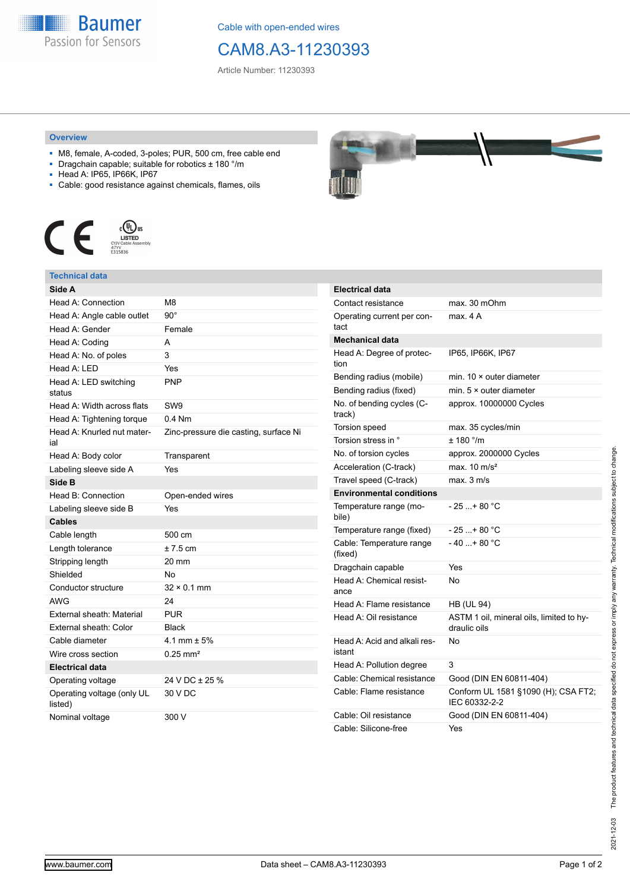

Cable with open-ended wires

## CAM8.A3-11230393

Article Number: 11230393

## **Overview**

- M8, female, A-coded, 3-poles; PUR, 500 cm, free cable end
- Dragchain capable; suitable for robotics ± 180 °/m
- Head A: IP65, IP66K, IP67
- Cable: good resistance against chemicals, flames, oils



## **Technical data**

| Side A                                |                                       |
|---------------------------------------|---------------------------------------|
| Head A: Connection                    | M8                                    |
| Head A: Angle cable outlet            | $90^{\circ}$                          |
| Head A: Gender                        | Female                                |
| Head A: Coding                        | A                                     |
| Head A: No. of poles                  | 3                                     |
| Head A: LED                           | Yes                                   |
| Head A: LED switching<br>status       | <b>PNP</b>                            |
| Head A: Width across flats            | SW <sub>9</sub>                       |
| Head A: Tightening torque             | $0.4$ Nm                              |
| Head A: Knurled nut mater-<br>ial     | Zinc-pressure die casting, surface Ni |
| Head A: Body color                    | Transparent                           |
| Labeling sleeve side A                | Yes                                   |
| Side B                                |                                       |
| Head B: Connection                    | Open-ended wires                      |
| Labeling sleeve side B                | Yes                                   |
| Cables                                |                                       |
| Cable length                          | 500 cm                                |
| Length tolerance                      | $± 7.5$ cm                            |
| Stripping length                      | 20 mm                                 |
| Shielded                              | N <sub>o</sub>                        |
| Conductor structure                   | $32 \times 0.1$ mm                    |
| AWG                                   | 24                                    |
| External sheath: Material             | <b>PUR</b>                            |
| External sheath: Color                | <b>Black</b>                          |
| Cable diameter                        | 4.1 mm $\pm$ 5%                       |
| Wire cross section                    | $0.25 \text{ mm}^2$                   |
| <b>Electrical data</b>                |                                       |
| Operating voltage                     | 24 V DC ± 25 %                        |
| Operating voltage (only UL<br>listed) | 30 V DC                               |
| Nominal voltage                       | 300 V                                 |



| <b>Electrical data</b>                 |                                                          |  |  |
|----------------------------------------|----------------------------------------------------------|--|--|
| Contact resistance                     | max. 30 mOhm                                             |  |  |
| Operating current per con-<br>tact     | max. 4 A                                                 |  |  |
| <b>Mechanical data</b>                 |                                                          |  |  |
| Head A: Degree of protec-<br>tion      | IP65, IP66K, IP67                                        |  |  |
| Bending radius (mobile)                | min. $10 \times$ outer diameter                          |  |  |
| Bending radius (fixed)                 | min. $5 \times$ outer diameter                           |  |  |
| No. of bending cycles (C-<br>track)    | approx. 10000000 Cycles                                  |  |  |
| Torsion speed                          | max. 35 cycles/min                                       |  |  |
| Torsion stress in °                    | ± 180°/m                                                 |  |  |
| No. of torsion cycles                  | approx. 2000000 Cycles                                   |  |  |
| Acceleration (C-track)                 | max. $10 \text{ m/s}^2$                                  |  |  |
| Travel speed (C-track)                 | $max$ 3 m/s                                              |  |  |
| <b>Environmental conditions</b>        |                                                          |  |  |
| Temperature range (mo-<br>bile)        | - 25 + 80 °C                                             |  |  |
| Temperature range (fixed)              | - 25 + 80 °C                                             |  |  |
| Cable: Temperature range<br>(fixed)    | $-40+80 °C$                                              |  |  |
| Dragchain capable                      | Yes                                                      |  |  |
| Head A: Chemical resist-<br>ance       | N <sub>o</sub>                                           |  |  |
| Head A: Flame resistance               | <b>HB (UL 94)</b>                                        |  |  |
| Head A: Oil resistance                 | ASTM 1 oil, mineral oils, limited to hy-<br>draulic oils |  |  |
| Head A: Acid and alkali res-<br>istant | No                                                       |  |  |
| Head A: Pollution degree               | 3                                                        |  |  |
| Cable: Chemical resistance             | Good (DIN EN 60811-404)                                  |  |  |
| Cable: Flame resistance                | Conform UL 1581 §1090 (H); CSA FT2;<br>IEC 60332-2-2     |  |  |
| Cable: Oil resistance                  | Good (DIN EN 60811-404)                                  |  |  |
| Cable: Silicone-free                   | Yes                                                      |  |  |